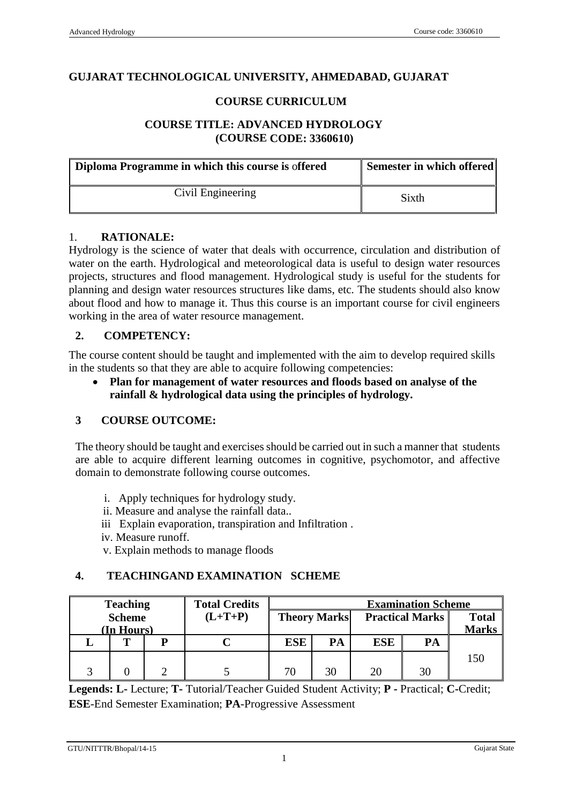#### **GUJARAT TECHNOLOGICAL UNIVERSITY, AHMEDABAD, GUJARAT**

#### **COURSE CURRICULUM**

## **COURSE TITLE: ADVANCED HYDROLOGY (COURSE CODE: 3360610)**

| Diploma Programme in which this course is offered | Semester in which offered |
|---------------------------------------------------|---------------------------|
| Civil Engineering                                 | Sixth                     |

#### 1. **RATIONALE:**

Hydrology is the science of water that deals with occurrence, circulation and distribution of water on the earth. Hydrological and meteorological data is useful to design water resources projects, structures and flood management. Hydrological study is useful for the students for planning and design water resources structures like dams, etc. The students should also know about flood and how to manage it. Thus this course is an important course for civil engineers working in the area of water resource management.

#### **2. COMPETENCY:**

The course content should be taught and implemented with the aim to develop required skills in the students so that they are able to acquire following competencies:

 **Plan for management of water resources and floods based on analyse of the rainfall & hydrological data using the principles of hydrology.** 

#### **3 COURSE OUTCOME:**

The theory should be taught and exercises should be carried out in such a manner that students are able to acquire different learning outcomes in cognitive, psychomotor, and affective domain to demonstrate following course outcomes.

- i. Apply techniques for hydrology study.
- ii. Measure and analyse the rainfall data..
- iii Explain evaporation, transpiration and Infiltration .
- iv. Measure runoff.
- v. Explain methods to manage floods

#### **4. TEACHINGAND EXAMINATION SCHEME**

| <b>Teaching</b> | <b>Total Credits</b> | <b>Examination Scheme</b> |    |                                               |    |              |
|-----------------|----------------------|---------------------------|----|-----------------------------------------------|----|--------------|
| <b>Scheme</b>   | $(L+T+P)$            |                           |    | <b>Theory Marks</b><br><b>Practical Marks</b> |    | <b>Total</b> |
| (In Hours)      |                      |                           |    |                                               |    | <b>Marks</b> |
|                 |                      | <b>ESE</b>                | PA | <b>ESE</b>                                    | PA |              |
|                 |                      |                           |    |                                               |    | 150          |
|                 |                      | 70                        | 30 | 20                                            | 30 |              |

**Legends: L-** Lecture; **T-** Tutorial/Teacher Guided Student Activity; **P -** Practical; **C-**Credit; **ESE**-End Semester Examination; **PA**-Progressive Assessment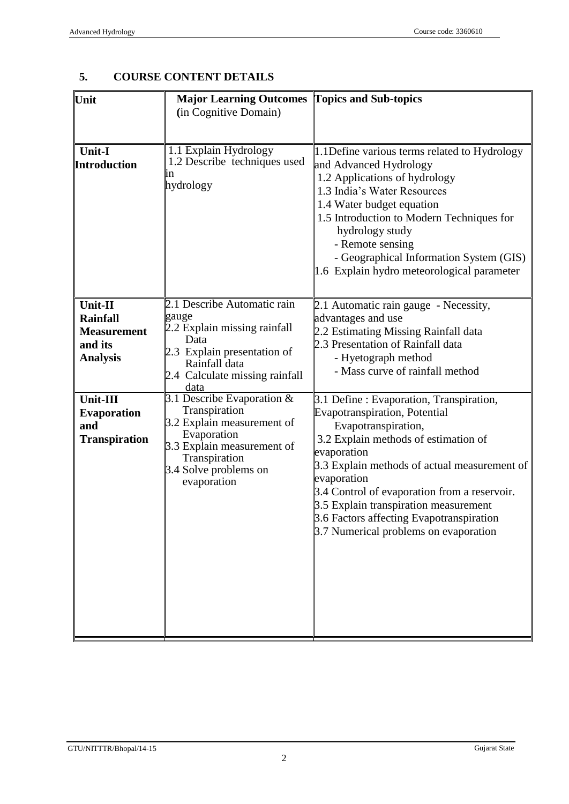**Topics and Sub-topics**

|                                                                                | (in Cognitive Domain)                                                                                                                                                                        |                                                                                                                                                                                                                                                                                                                                                                                                      |
|--------------------------------------------------------------------------------|----------------------------------------------------------------------------------------------------------------------------------------------------------------------------------------------|------------------------------------------------------------------------------------------------------------------------------------------------------------------------------------------------------------------------------------------------------------------------------------------------------------------------------------------------------------------------------------------------------|
| <b>Unit-I</b><br><b>Introduction</b>                                           | 1.1 Explain Hydrology<br>1.2 Describe techniques used<br>ın<br>hydrology                                                                                                                     | 1.1 Define various terms related to Hydrology<br>and Advanced Hydrology<br>1.2 Applications of hydrology<br>1.3 India's Water Resources<br>1.4 Water budget equation<br>1.5 Introduction to Modern Techniques for<br>hydrology study<br>- Remote sensing<br>- Geographical Information System (GIS)<br>1.6 Explain hydro meteorological parameter                                                    |
| Unit-II<br><b>Rainfall</b><br><b>Measurement</b><br>and its<br><b>Analysis</b> | 2.1 Describe Automatic rain<br>gauge<br>2.2 Explain missing rainfall<br>Data<br>2.3 Explain presentation of<br>Rainfall data<br>2.4 Calculate missing rainfall<br>data                       | $\vert 2.1$ Automatic rain gauge - Necessity,<br>advantages and use<br>2.2 Estimating Missing Rainfall data<br>2.3 Presentation of Rainfall data<br>- Hyetograph method<br>- Mass curve of rainfall method                                                                                                                                                                                           |
| Unit-III<br><b>Evaporation</b><br>and<br><b>Transpiration</b>                  | $\overline{3.1}$ Describe Evaporation &<br>Transpiration<br>3.2 Explain measurement of<br>Evaporation<br>3.3 Explain measurement of<br>Transpiration<br>3.4 Solve problems on<br>evaporation | 3.1 Define : Evaporation, Transpiration,<br>Evapotranspiration, Potential<br>Evapotranspiration,<br>3.2 Explain methods of estimation of<br>evaporation<br>3.3 Explain methods of actual measurement of<br>evaporation<br>3.4 Control of evaporation from a reservoir.<br>3.5 Explain transpiration measurement<br>3.6 Factors affecting Evapotranspiration<br>3.7 Numerical problems on evaporation |

# **5. COURSE CONTENT DETAILS**

**Unit Major Learning Outcomes**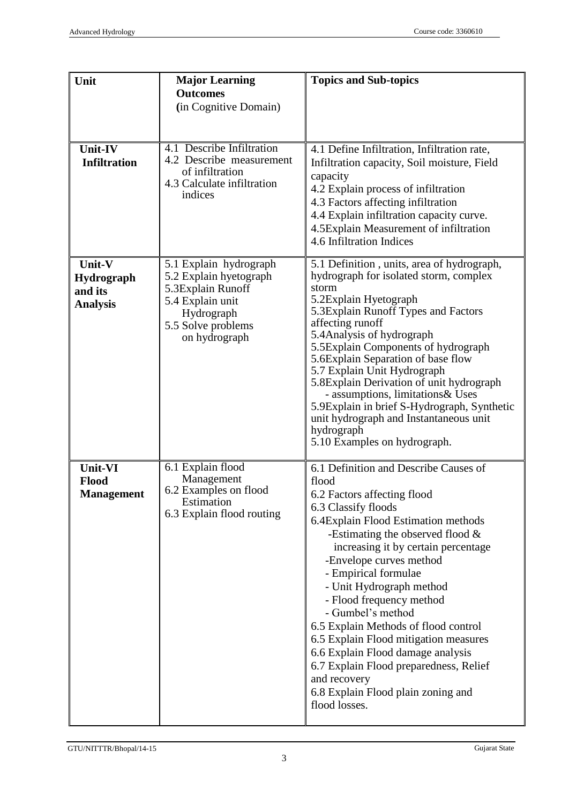| Unit                                                | <b>Major Learning</b><br><b>Outcomes</b><br>(in Cognitive Domain)                                                                              | <b>Topics and Sub-topics</b>                                                                                                                                                                                                                                                                                                                                                                                                                                                                                                                                                                     |
|-----------------------------------------------------|------------------------------------------------------------------------------------------------------------------------------------------------|--------------------------------------------------------------------------------------------------------------------------------------------------------------------------------------------------------------------------------------------------------------------------------------------------------------------------------------------------------------------------------------------------------------------------------------------------------------------------------------------------------------------------------------------------------------------------------------------------|
| Unit-IV<br><b>Infiltration</b>                      | 4.1 Describe Infiltration<br>4.2 Describe measurement<br>of infiltration<br>4.3 Calculate infiltration<br>indices                              | 4.1 Define Infiltration, Infiltration rate,<br>Infiltration capacity, Soil moisture, Field<br>capacity<br>4.2 Explain process of infiltration<br>4.3 Factors affecting infiltration<br>4.4 Explain infiltration capacity curve.<br>4.5Explain Measurement of infiltration<br>4.6 Infiltration Indices                                                                                                                                                                                                                                                                                            |
| Unit-V<br>Hydrograph<br>and its<br><b>Analysis</b>  | 5.1 Explain hydrograph<br>5.2 Explain hyetograph<br>5.3Explain Runoff<br>5.4 Explain unit<br>Hydrograph<br>5.5 Solve problems<br>on hydrograph | 5.1 Definition, units, area of hydrograph,<br>hydrograph for isolated storm, complex<br>storm<br>5.2Explain Hyetograph<br>5.3 Explain Runoff Types and Factors<br>affecting runoff<br>5.4 Analysis of hydrograph<br>5.5Explain Components of hydrograph<br>5.6Explain Separation of base flow<br>5.7 Explain Unit Hydrograph<br>5.8 Explain Derivation of unit hydrograph<br>- assumptions, limitations & Uses<br>5.9Explain in brief S-Hydrograph, Synthetic<br>unit hydrograph and Instantaneous unit<br>hydrograph<br>5.10 Examples on hydrograph.                                            |
| <b>Unit-VI</b><br><b>Flood</b><br><b>Management</b> | 6.1 Explain flood<br>Management<br>6.2 Examples on flood<br>Estimation<br>6.3 Explain flood routing                                            | 6.1 Definition and Describe Causes of<br>flood<br>6.2 Factors affecting flood<br>6.3 Classify floods<br>6.4Explain Flood Estimation methods<br>-Estimating the observed flood $\&$<br>increasing it by certain percentage<br>-Envelope curves method<br>- Empirical formulae<br>- Unit Hydrograph method<br>- Flood frequency method<br>- Gumbel's method<br>6.5 Explain Methods of flood control<br>6.5 Explain Flood mitigation measures<br>6.6 Explain Flood damage analysis<br>6.7 Explain Flood preparedness, Relief<br>and recovery<br>6.8 Explain Flood plain zoning and<br>flood losses. |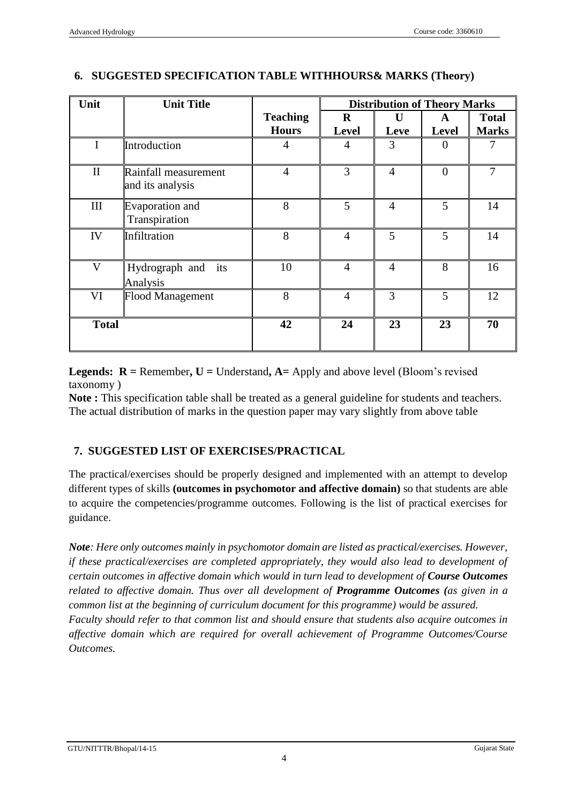| Unit         | <b>Unit Title</b>                        |                 | <b>Distribution of Theory Marks</b> |                |              |              |
|--------------|------------------------------------------|-----------------|-------------------------------------|----------------|--------------|--------------|
|              |                                          | <b>Teaching</b> | $\bf{R}$                            | $\mathbf{U}$   | A            | <b>Total</b> |
|              |                                          | <b>Hours</b>    | <b>Level</b>                        | Leve           | <b>Level</b> | <b>Marks</b> |
| $\mathbf I$  | Introduction                             | 4               | 4                                   | 3              |              |              |
| $\mathbf{I}$ | Rainfall measurement<br>and its analysis | $\overline{4}$  | 3                                   | $\overline{4}$ | $\Omega$     | 7            |
| $\rm III$    | Evaporation and<br>Transpiration         | 8               | 5                                   | $\overline{4}$ | 5            | 14           |
| IV           | Infiltration                             | 8               | $\overline{4}$                      | 5              | 5            | 14           |
| $\mathbf{V}$ | Hydrograph and its<br>Analysis           | 10              | $\overline{4}$                      | $\overline{4}$ | 8            | 16           |
| VI           | <b>Flood Management</b>                  | 8               | $\overline{4}$                      | 3              | 5            | 12           |
| <b>Total</b> |                                          | 42              | 24                                  | 23             | 23           | 70           |

## **6. SUGGESTED SPECIFICATION TABLE WITHHOURS& MARKS (Theory)**

**Legends:**  $R =$  Remember,  $U =$  Understand,  $A =$  Apply and above level (Bloom's revised taxonomy )

**Note :** This specification table shall be treated as a general guideline for students and teachers. The actual distribution of marks in the question paper may vary slightly from above table

# **7. SUGGESTED LIST OF EXERCISES/PRACTICAL**

The practical/exercises should be properly designed and implemented with an attempt to develop different types of skills **(outcomes in psychomotor and affective domain)** so that students are able to acquire the competencies/programme outcomes. Following is the list of practical exercises for guidance.

*Note: Here only outcomes mainly in psychomotor domain are listed as practical/exercises. However, if these practical/exercises are completed appropriately, they would also lead to development of certain outcomes in affective domain which would in turn lead to development of Course Outcomes related to affective domain. Thus over all development of Programme Outcomes (as given in a common list at the beginning of curriculum document for this programme) would be assured. Faculty should refer to that common list and should ensure that students also acquire outcomes in affective domain which are required for overall achievement of Programme Outcomes/Course Outcomes.*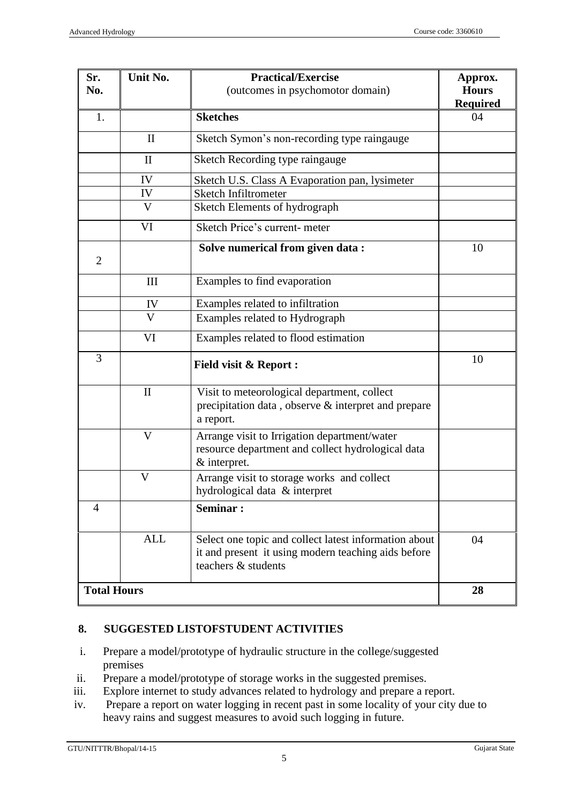| Sr.<br>No.         | Unit No.     | <b>Practical/Exercise</b><br>(outcomes in psychomotor domain)                                                                       | Approx.<br><b>Hours</b><br><b>Required</b> |
|--------------------|--------------|-------------------------------------------------------------------------------------------------------------------------------------|--------------------------------------------|
| 1.                 |              | <b>Sketches</b>                                                                                                                     | 04                                         |
|                    | $\mathbf{I}$ | Sketch Symon's non-recording type raingauge                                                                                         |                                            |
|                    | $\mathbf{I}$ | Sketch Recording type raingauge                                                                                                     |                                            |
|                    | IV           | Sketch U.S. Class A Evaporation pan, lysimeter                                                                                      |                                            |
|                    | IV           | Sketch Infiltrometer                                                                                                                |                                            |
|                    | V            | Sketch Elements of hydrograph                                                                                                       |                                            |
|                    | VI           | Sketch Price's current-meter                                                                                                        |                                            |
| $\overline{2}$     |              | Solve numerical from given data:                                                                                                    | 10                                         |
|                    | III          | Examples to find evaporation                                                                                                        |                                            |
|                    | IV           | Examples related to infiltration                                                                                                    |                                            |
|                    | V            | Examples related to Hydrograph                                                                                                      |                                            |
|                    | VI           | Examples related to flood estimation                                                                                                |                                            |
| 3                  |              | <b>Field visit &amp; Report:</b>                                                                                                    | 10                                         |
|                    | $\mathbf{I}$ | Visit to meteorological department, collect<br>precipitation data, observe & interpret and prepare<br>a report.                     |                                            |
|                    | V            | Arrange visit to Irrigation department/water<br>resource department and collect hydrological data<br>& interpret.                   |                                            |
|                    | V            | Arrange visit to storage works and collect<br>hydrological data & interpret                                                         |                                            |
| 4                  |              | <b>Seminar:</b>                                                                                                                     |                                            |
|                    | <b>ALL</b>   | Select one topic and collect latest information about<br>it and present it using modern teaching aids before<br>teachers & students | 04                                         |
| <b>Total Hours</b> |              |                                                                                                                                     | 28                                         |

#### **8. SUGGESTED LISTOFSTUDENT ACTIVITIES**

- i. Prepare a model/prototype of hydraulic structure in the college/suggested premises
- ii. Prepare a model/prototype of storage works in the suggested premises.
- iii. Explore internet to study advances related to hydrology and prepare a report.
- iv. Prepare a report on water logging in recent past in some locality of your city due to heavy rains and suggest measures to avoid such logging in future.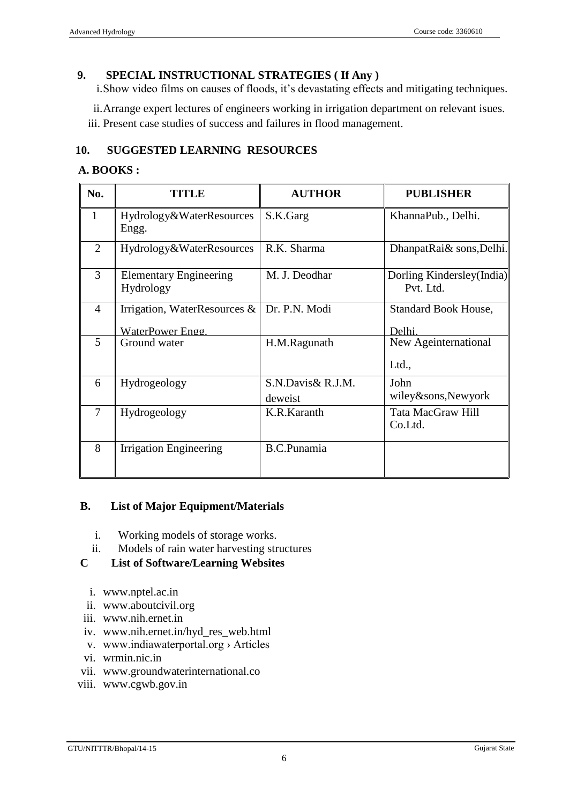## **9. SPECIAL INSTRUCTIONAL STRATEGIES ( If Any )**

i.Show video films on causes of floods, it's devastating effects and mitigating techniques.

ii.Arrange expert lectures of engineers working in irrigation department on relevant isues. iii. Present case studies of success and failures in flood management.

## **10. SUGGESTED LEARNING RESOURCES**

#### **A. BOOKS :**

| No.            | <b>TITLE</b>                                        | <b>AUTHOR</b>                | <b>PUBLISHER</b>                       |
|----------------|-----------------------------------------------------|------------------------------|----------------------------------------|
| $\mathbf{1}$   | Hydrology&WaterResources<br>Engg.                   | S.K.Garg                     | KhannaPub., Delhi.                     |
| $\overline{2}$ | Hydrology&WaterResources                            | R.K. Sharma                  | DhanpatRai& sons, Delhi.               |
| 3              | <b>Elementary Engineering</b><br>Hydrology          | M. J. Deodhar                | Dorling Kindersley(India)<br>Pvt. Ltd. |
| $\overline{4}$ | Irrigation, WaterResources $\&$<br>WaterPower Engg. | Dr. P.N. Modi                | <b>Standard Book House,</b><br>Delhi.  |
| 5              | Ground water                                        | H.M.Ragunath                 | New Ageinternational<br>Ltd.,          |
| 6              | Hydrogeology                                        | S.N.Davis& R.J.M.<br>deweist | John<br>wiley&sons, Newyork            |
| 7              | Hydrogeology                                        | K.R.Karanth                  | Tata MacGraw Hill<br>Co.Ltd.           |
| 8              | <b>Irrigation Engineering</b>                       | <b>B.C.Punamia</b>           |                                        |

#### **B. List of Major Equipment/Materials**

- i. Working models of storage works.
- ii. Models of rain water harvesting structures

#### **C List of Software/Learning Websites**

- i. [www.nptel.ac.in](http://www.nptel.ac.in/)
- ii. [www.aboutcivil.org](http://www.aboutcivil.org/)
- iii. www.nih.ernet.in
- iv. www.nih.ernet.in/hyd\_res\_web.html
- v. www.indiawaterportal.org › Articles
- vi. wrmin.nic.in
- vii. [www.groundwaterinternational.co](http://www.groundwaterinternational.co/)
- viii. www.cgwb.gov.in